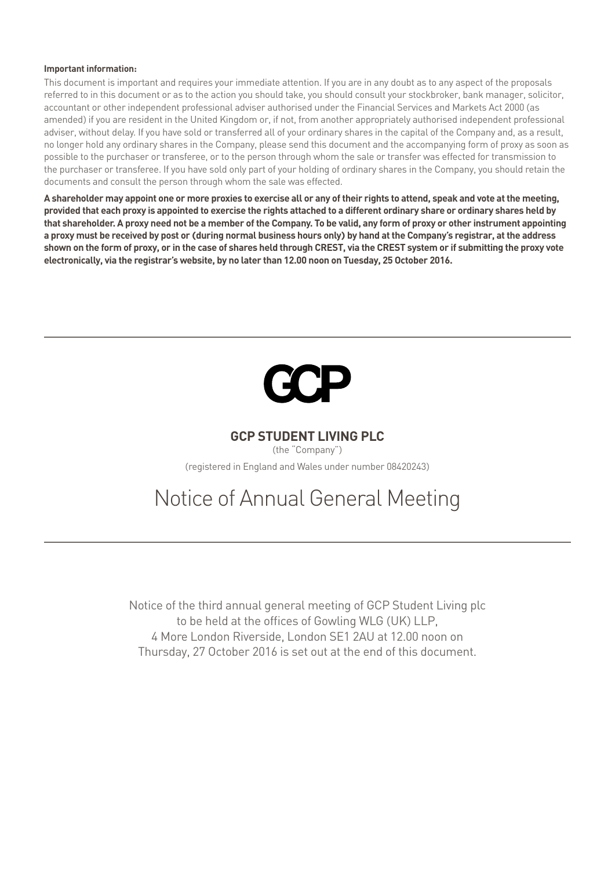#### **Important information:**

This document is important and requires your immediate attention. If you are in any doubt as to any aspect of the proposals referred to in this document or as to the action you should take, you should consult your stockbroker, bank manager, solicitor, accountant or other independent professional adviser authorised under the Financial Services and Markets Act 2000 (as amended) if you are resident in the United Kingdom or, if not, from another appropriately authorised independent professional adviser, without delay. If you have sold or transferred all of your ordinary shares in the capital of the Company and, as a result, no longer hold any ordinary shares in the Company, please send this document and the accompanying form of proxy as soon as possible to the purchaser or transferee, or to the person through whom the sale or transfer was effected for transmission to the purchaser or transferee. If you have sold only part of your holding of ordinary shares in the Company, you should retain the documents and consult the person through whom the sale was effected.

**A shareholder may appoint one or more proxies to exercise all or any of their rights to attend, speak and vote at the meeting, provided that each proxy is appointed to exercise the rights attached to a different ordinary share or ordinary shares held by that shareholder. A proxy need not be a member of the Company. To be valid, any form of proxy or other instrument appointing a proxy must be received by post or (during normal business hours only) by hand at the Company's registrar, at the address shown on the form of proxy, or in the case of shares held through CREST, via the CREST system or if submitting the proxy vote electronically, via the registrar's website, by no later than 12.00 noon on Tuesday, 25 October 2016.**



## **GCP Student Living plc**

(the "Company") (registered in England and Wales under number 08420243)

# Notice of Annual General Meeting

Notice of the third annual general meeting of GCP Student Living plc to be held at the offices of Gowling WLG (UK) LLP, 4 More London Riverside, London SE1 2AU at 12.00 noon on Thursday, 27 October 2016 is set out at the end of this document.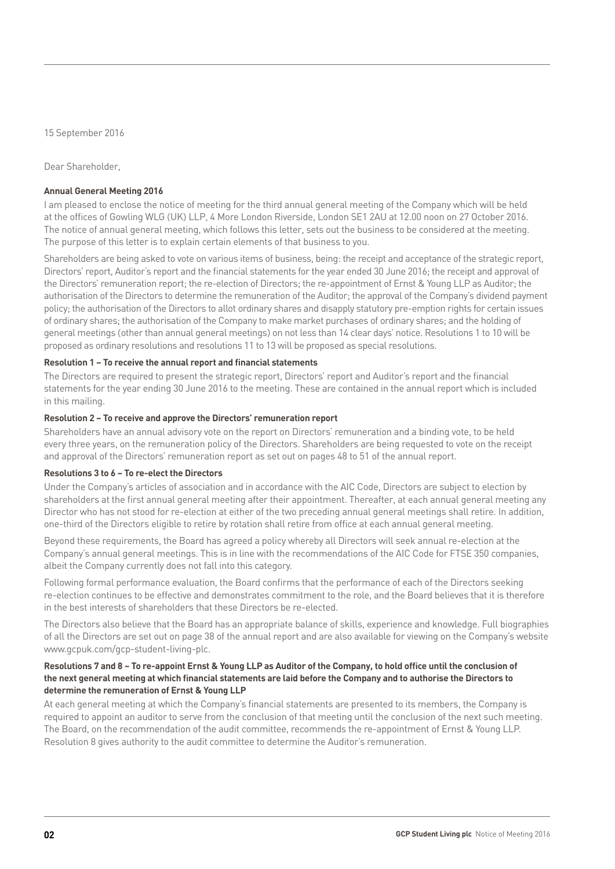15 September 2016

Dear Shareholder,

#### **Annual General Meeting 2016**

I am pleased to enclose the notice of meeting for the third annual general meeting of the Company which will be held at the offices of Gowling WLG (UK) LLP, 4 More London Riverside, London SE1 2AU at 12.00 noon on 27 October 2016. The notice of annual general meeting, which follows this letter, sets out the business to be considered at the meeting. The purpose of this letter is to explain certain elements of that business to you.

Shareholders are being asked to vote on various items of business, being: the receipt and acceptance of the strategic report, Directors' report, Auditor's report and the financial statements for the year ended 30 June 2016; the receipt and approval of the Directors' remuneration report; the re-election of Directors; the re-appointment of Ernst & Young LLP as Auditor; the authorisation of the Directors to determine the remuneration of the Auditor; the approval of the Company's dividend payment policy; the authorisation of the Directors to allot ordinary shares and disapply statutory pre-emption rights for certain issues of ordinary shares; the authorisation of the Company to make market purchases of ordinary shares; and the holding of general meetings (other than annual general meetings) on not less than 14 clear days' notice. Resolutions 1 to 10 will be proposed as ordinary resolutions and resolutions 11 to 13 will be proposed as special resolutions.

### **Resolution 1 – To receive the annual report and financial statements**

The Directors are required to present the strategic report, Directors' report and Auditor's report and the financial statements for the year ending 30 June 2016 to the meeting. These are contained in the annual report which is included in this mailing.

### **Resolution 2 – To receive and approve the Directors' remuneration report**

Shareholders have an annual advisory vote on the report on Directors' remuneration and a binding vote, to be held every three years, on the remuneration policy of the Directors. Shareholders are being requested to vote on the receipt and approval of the Directors' remuneration report as set out on pages 48 to 51 of the annual report.

#### **Resolutions 3 to 6 – To re‑elect the Directors**

Under the Company's articles of association and in accordance with the AIC Code, Directors are subject to election by shareholders at the first annual general meeting after their appointment. Thereafter, at each annual general meeting any Director who has not stood for re-election at either of the two preceding annual general meetings shall retire. In addition, one-third of the Directors eligible to retire by rotation shall retire from office at each annual general meeting.

Beyond these requirements, the Board has agreed a policy whereby all Directors will seek annual re-election at the Company's annual general meetings. This is in line with the recommendations of the AIC Code for FTSE 350 companies, albeit the Company currently does not fall into this category.

Following formal performance evaluation, the Board confirms that the performance of each of the Directors seeking re-election continues to be effective and demonstrates commitment to the role, and the Board believes that it is therefore in the best interests of shareholders that these Directors be re-elected.

The Directors also believe that the Board has an appropriate balance of skills, experience and knowledge. Full biographies of all the Directors are set out on page 38 of the annual report and are also available for viewing on the Company's website www.gcpuk.com/gcp-student-living-plc.

#### **Resolutions 7 and 8 – To re-appoint Ernst & Young LLP as Auditor of the Company, to hold office until the conclusion of the next general meeting at which financial statements are laid before the Company and to authorise the Directors to determine the remuneration of Ernst & Young LLP**

At each general meeting at which the Company's financial statements are presented to its members, the Company is required to appoint an auditor to serve from the conclusion of that meeting until the conclusion of the next such meeting. The Board, on the recommendation of the audit committee, recommends the re-appointment of Ernst & Young LLP. Resolution 8 gives authority to the audit committee to determine the Auditor's remuneration.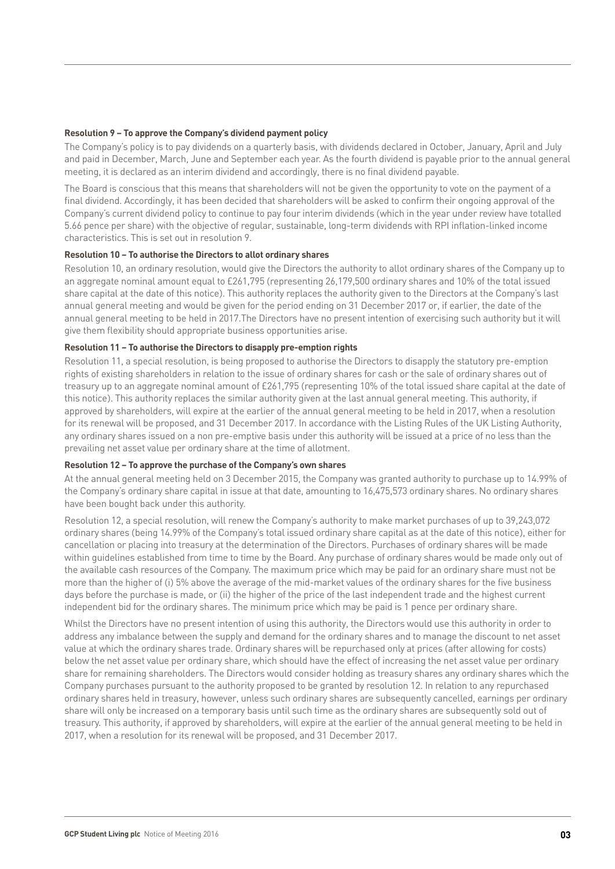#### **Resolution 9 – To approve the Company's dividend payment policy**

The Company's policy is to pay dividends on a quarterly basis, with dividends declared in October, January, April and July and paid in December, March, June and September each year. As the fourth dividend is payable prior to the annual general meeting, it is declared as an interim dividend and accordingly, there is no final dividend payable.

The Board is conscious that this means that shareholders will not be given the opportunity to vote on the payment of a final dividend. Accordingly, it has been decided that shareholders will be asked to confirm their ongoing approval of the Company's current dividend policy to continue to pay four interim dividends (which in the year under review have totalled 5.66 pence per share) with the objective of regular, sustainable, long-term dividends with RPI inflation-linked income characteristics. This is set out in resolution 9.

#### **Resolution 10 – To authorise the Directors to allot ordinary shares**

Resolution 10, an ordinary resolution, would give the Directors the authority to allot ordinary shares of the Company up to an aggregate nominal amount equal to £261,795 (representing 26,179,500 ordinary shares and 10% of the total issued share capital at the date of this notice). This authority replaces the authority given to the Directors at the Company's last annual general meeting and would be given for the period ending on 31 December 2017 or, if earlier, the date of the annual general meeting to be held in 2017.The Directors have no present intention of exercising such authority but it will give them flexibility should appropriate business opportunities arise.

#### **Resolution 11 – To authorise the Directors to disapply pre‑emption rights**

Resolution 11, a special resolution, is being proposed to authorise the Directors to disapply the statutory pre-emption rights of existing shareholders in relation to the issue of ordinary shares for cash or the sale of ordinary shares out of treasury up to an aggregate nominal amount of £261,795 (representing 10% of the total issued share capital at the date of this notice). This authority replaces the similar authority given at the last annual general meeting. This authority, if approved by shareholders, will expire at the earlier of the annual general meeting to be held in 2017, when a resolution for its renewal will be proposed, and 31 December 2017. In accordance with the Listing Rules of the UK Listing Authority, any ordinary shares issued on a non pre-emptive basis under this authority will be issued at a price of no less than the prevailing net asset value per ordinary share at the time of allotment.

#### **Resolution 12 – To approve the purchase of the Company's own shares**

At the annual general meeting held on 3 December 2015, the Company was granted authority to purchase up to 14.99% of the Company's ordinary share capital in issue at that date, amounting to 16,475,573 ordinary shares. No ordinary shares have been bought back under this authority.

Resolution 12, a special resolution, will renew the Company's authority to make market purchases of up to 39,243,072 ordinary shares (being 14.99% of the Company's total issued ordinary share capital as at the date of this notice), either for cancellation or placing into treasury at the determination of the Directors. Purchases of ordinary shares will be made within guidelines established from time to time by the Board. Any purchase of ordinary shares would be made only out of the available cash resources of the Company. The maximum price which may be paid for an ordinary share must not be more than the higher of (i) 5% above the average of the mid-market values of the ordinary shares for the five business days before the purchase is made, or (ii) the higher of the price of the last independent trade and the highest current independent bid for the ordinary shares. The minimum price which may be paid is 1 pence per ordinary share.

Whilst the Directors have no present intention of using this authority, the Directors would use this authority in order to address any imbalance between the supply and demand for the ordinary shares and to manage the discount to net asset value at which the ordinary shares trade. Ordinary shares will be repurchased only at prices (after allowing for costs) below the net asset value per ordinary share, which should have the effect of increasing the net asset value per ordinary share for remaining shareholders. The Directors would consider holding as treasury shares any ordinary shares which the Company purchases pursuant to the authority proposed to be granted by resolution 12. In relation to any repurchased ordinary shares held in treasury, however, unless such ordinary shares are subsequently cancelled, earnings per ordinary share will only be increased on a temporary basis until such time as the ordinary shares are subsequently sold out of treasury. This authority, if approved by shareholders, will expire at the earlier of the annual general meeting to be held in 2017, when a resolution for its renewal will be proposed, and 31 December 2017.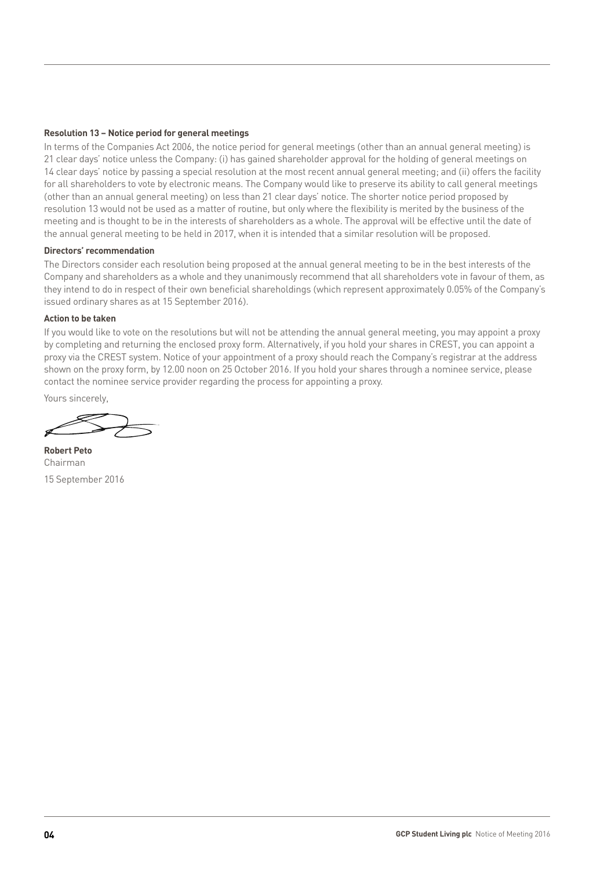#### **Resolution 13 – Notice period for general meetings**

In terms of the Companies Act 2006, the notice period for general meetings (other than an annual general meeting) is 21 clear days' notice unless the Company: (i) has gained shareholder approval for the holding of general meetings on 14 clear days' notice by passing a special resolution at the most recent annual general meeting; and (ii) offers the facility for all shareholders to vote by electronic means. The Company would like to preserve its ability to call general meetings (other than an annual general meeting) on less than 21 clear days' notice. The shorter notice period proposed by resolution 13 would not be used as a matter of routine, but only where the flexibility is merited by the business of the meeting and is thought to be in the interests of shareholders as a whole. The approval will be effective until the date of the annual general meeting to be held in 2017, when it is intended that a similar resolution will be proposed.

#### **Directors' recommendation**

The Directors consider each resolution being proposed at the annual general meeting to be in the best interests of the Company and shareholders as a whole and they unanimously recommend that all shareholders vote in favour of them, as they intend to do in respect of their own beneficial shareholdings (which represent approximately 0.05% of the Company's issued ordinary shares as at 15 September 2016).

#### **Action to be taken**

If you would like to vote on the resolutions but will not be attending the annual general meeting, you may appoint a proxy by completing and returning the enclosed proxy form. Alternatively, if you hold your shares in CREST, you can appoint a proxy via the CREST system. Notice of your appointment of a proxy should reach the Company's registrar at the address shown on the proxy form, by 12.00 noon on 25 October 2016. If you hold your shares through a nominee service, please contact the nominee service provider regarding the process for appointing a proxy.

Yours sincerely,

**Robert Peto** Chairman 15 September 2016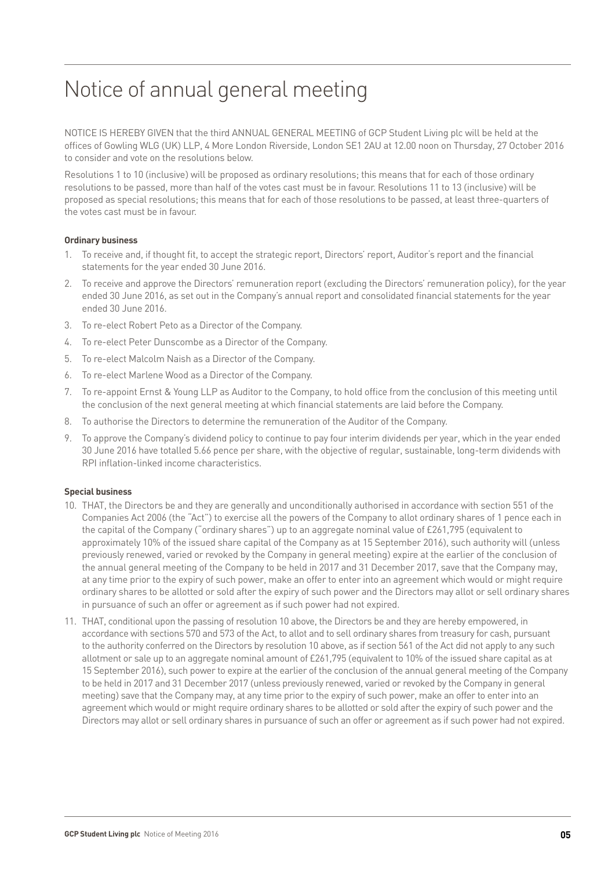# Notice of annual general meeting

NOTICE IS HEREBY GIVEN that the third ANNUAL GENERAL MEETING of GCP Student Living plc will be held at the offices of Gowling WLG (UK) LLP, 4 More London Riverside, London SE1 2AU at 12.00 noon on Thursday, 27 October 2016 to consider and vote on the resolutions below.

Resolutions 1 to 10 (inclusive) will be proposed as ordinary resolutions; this means that for each of those ordinary resolutions to be passed, more than half of the votes cast must be in favour. Resolutions 11 to 13 (inclusive) will be proposed as special resolutions; this means that for each of those resolutions to be passed, at least three-quarters of the votes cast must be in favour.

#### **Ordinary business**

- 1. To receive and, if thought fit, to accept the strategic report, Directors' report, Auditor's report and the financial statements for the year ended 30 June 2016.
- 2. To receive and approve the Directors' remuneration report (excluding the Directors' remuneration policy), for the year ended 30 June 2016, as set out in the Company's annual report and consolidated financial statements for the year ended 30 June 2016.
- 3. To re-elect Robert Peto as a Director of the Company.
- 4. To re-elect Peter Dunscombe as a Director of the Company.
- 5. To re-elect Malcolm Naish as a Director of the Company.
- 6. To re-elect Marlene Wood as a Director of the Company.
- 7. To re-appoint Ernst & Young LLP as Auditor to the Company, to hold office from the conclusion of this meeting until the conclusion of the next general meeting at which financial statements are laid before the Company.
- 8. To authorise the Directors to determine the remuneration of the Auditor of the Company.
- 9. To approve the Company's dividend policy to continue to pay four interim dividends per year, which in the year ended 30 June 2016 have totalled 5.66 pence per share, with the objective of regular, sustainable, long-term dividends with RPI inflation-linked income characteristics.

#### **Special business**

- 10. THAT, the Directors be and they are generally and unconditionally authorised in accordance with section 551 of the Companies Act 2006 (the "Act") to exercise all the powers of the Company to allot ordinary shares of 1 pence each in the capital of the Company ("ordinary shares") up to an aggregate nominal value of £261,795 (equivalent to approximately 10% of the issued share capital of the Company as at 15 September 2016), such authority will (unless previously renewed, varied or revoked by the Company in general meeting) expire at the earlier of the conclusion of the annual general meeting of the Company to be held in 2017 and 31 December 2017, save that the Company may, at any time prior to the expiry of such power, make an offer to enter into an agreement which would or might require ordinary shares to be allotted or sold after the expiry of such power and the Directors may allot or sell ordinary shares in pursuance of such an offer or agreement as if such power had not expired.
- 11. THAT, conditional upon the passing of resolution 10 above, the Directors be and they are hereby empowered, in accordance with sections 570 and 573 of the Act, to allot and to sell ordinary shares from treasury for cash, pursuant to the authority conferred on the Directors by resolution 10 above, as if section 561 of the Act did not apply to any such allotment or sale up to an aggregate nominal amount of £261,795 (equivalent to 10% of the issued share capital as at 15 September 2016), such power to expire at the earlier of the conclusion of the annual general meeting of the Company to be held in 2017 and 31 December 2017 (unless previously renewed, varied or revoked by the Company in general meeting) save that the Company may, at any time prior to the expiry of such power, make an offer to enter into an agreement which would or might require ordinary shares to be allotted or sold after the expiry of such power and the Directors may allot or sell ordinary shares in pursuance of such an offer or agreement as if such power had not expired.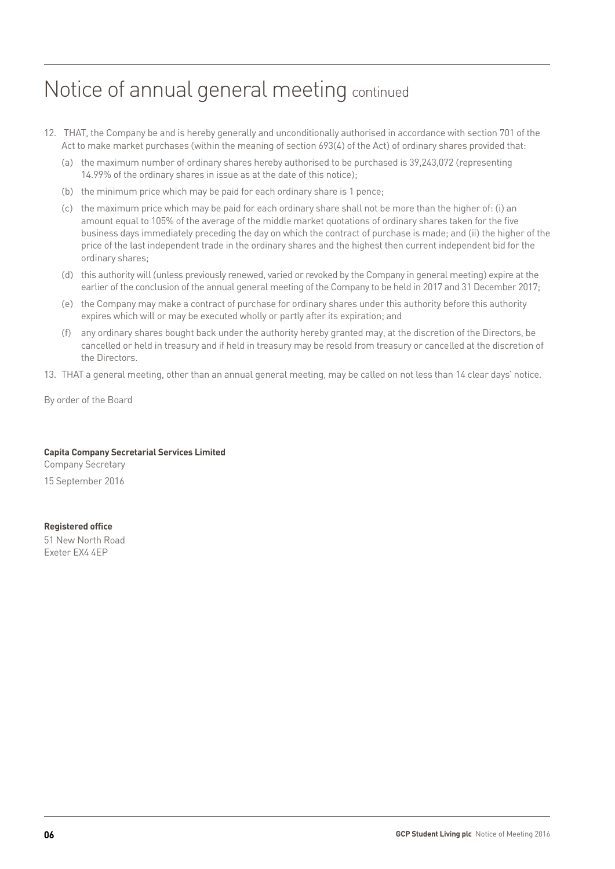# Notice of annual general meeting continued

- 12. THAT, the Company be and is hereby generally and unconditionally authorised in accordance with section 701 of the Act to make market purchases (within the meaning of section 693(4) of the Act) of ordinary shares provided that:
	- (a) the maximum number of ordinary shares hereby authorised to be purchased is 39,243,072 (representing 14.99% of the ordinary shares in issue as at the date of this notice);
	- (b) the minimum price which may be paid for each ordinary share is 1 pence;
	- (c) the maximum price which may be paid for each ordinary share shall not be more than the higher of: (i) an amount equal to 105% of the average of the middle market quotations of ordinary shares taken for the five business days immediately preceding the day on which the contract of purchase is made; and (ii) the higher of the price of the last independent trade in the ordinary shares and the highest then current independent bid for the ordinary shares;
	- (d) this authority will (unless previously renewed, varied or revoked by the Company in general meeting) expire at the earlier of the conclusion of the annual general meeting of the Company to be held in 2017 and 31 December 2017;
	- (e) the Company may make a contract of purchase for ordinary shares under this authority before this authority expires which will or may be executed wholly or partly after its expiration; and
	- (f) any ordinary shares bought back under the authority hereby granted may, at the discretion of the Directors, be cancelled or held in treasury and if held in treasury may be resold from treasury or cancelled at the discretion of the Directors.
- 13. THAT a general meeting, other than an annual general meeting, may be called on not less than 14 clear days' notice.

By order of the Board

### **Capita Company Secretarial Services Limited**

Company Secretary 15 September 2016

#### **Registered office**

51 New North Road Exeter EX4 4EP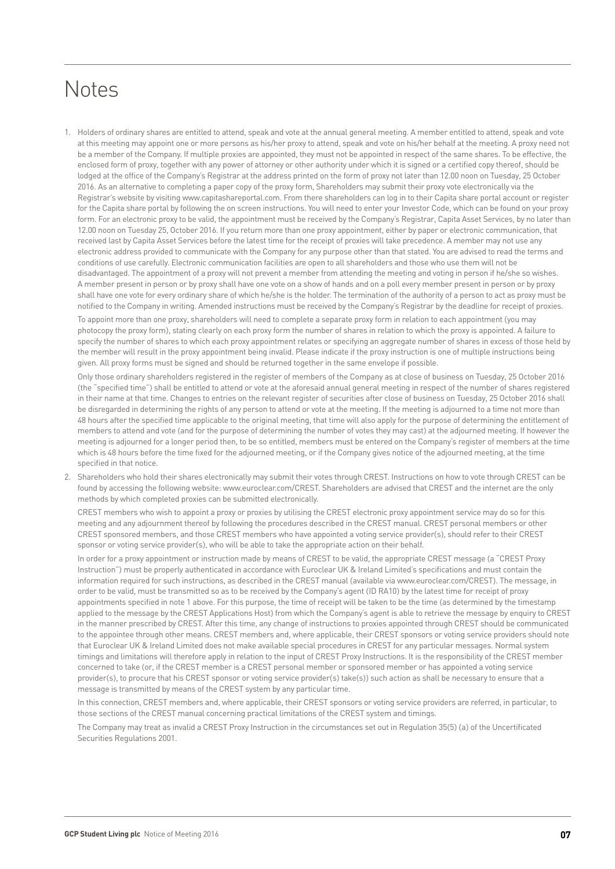# **Notes**

1. Holders of ordinary shares are entitled to attend, speak and vote at the annual general meeting. A member entitled to attend, speak and vote at this meeting may appoint one or more persons as his/her proxy to attend, speak and vote on his/her behalf at the meeting. A proxy need not be a member of the Company. If multiple proxies are appointed, they must not be appointed in respect of the same shares. To be effective, the enclosed form of proxy, together with any power of attorney or other authority under which it is signed or a certified copy thereof, should be lodged at the office of the Company's Registrar at the address printed on the form of proxy not later than 12.00 noon on Tuesday, 25 October 2016. As an alternative to completing a paper copy of the proxy form, Shareholders may submit their proxy vote electronically via the Registrar's website by visiting www.capitashareportal.com. From there shareholders can log in to their Capita share portal account or register for the Capita share portal by following the on screen instructions. You will need to enter your Investor Code, which can be found on your proxy form. For an electronic proxy to be valid, the appointment must be received by the Company's Registrar, Capita Asset Services, by no later than 12.00 noon on Tuesday 25, October 2016. If you return more than one proxy appointment, either by paper or electronic communication, that received last by Capita Asset Services before the latest time for the receipt of proxies will take precedence. A member may not use any electronic address provided to communicate with the Company for any purpose other than that stated. You are advised to read the terms and conditions of use carefully. Electronic communication facilities are open to all shareholders and those who use them will not be disadvantaged. The appointment of a proxy will not prevent a member from attending the meeting and voting in person if he/she so wishes. A member present in person or by proxy shall have one vote on a show of hands and on a poll every member present in person or by proxy shall have one vote for every ordinary share of which he/she is the holder. The termination of the authority of a person to act as proxy must be notified to the Company in writing. Amended instructions must be received by the Company's Registrar by the deadline for receipt of proxies.

To appoint more than one proxy, shareholders will need to complete a separate proxy form in relation to each appointment (you may photocopy the proxy form), stating clearly on each proxy form the number of shares in relation to which the proxy is appointed. A failure to specify the number of shares to which each proxy appointment relates or specifying an aggregate number of shares in excess of those held by the member will result in the proxy appointment being invalid. Please indicate if the proxy instruction is one of multiple instructions being given. All proxy forms must be signed and should be returned together in the same envelope if possible.

Only those ordinary shareholders registered in the register of members of the Company as at close of business on Tuesday, 25 October 2016 (the "specified time") shall be entitled to attend or vote at the aforesaid annual general meeting in respect of the number of shares registered in their name at that time. Changes to entries on the relevant register of securities after close of business on Tuesday, 25 October 2016 shall be disregarded in determining the rights of any person to attend or vote at the meeting. If the meeting is adjourned to a time not more than 48 hours after the specified time applicable to the original meeting, that time will also apply for the purpose of determining the entitlement of members to attend and vote (and for the purpose of determining the number of votes they may cast) at the adjourned meeting. If however the meeting is adjourned for a longer period then, to be so entitled, members must be entered on the Company's register of members at the time which is 48 hours before the time fixed for the adjourned meeting, or if the Company gives notice of the adjourned meeting, at the time specified in that notice.

2. Shareholders who hold their shares electronically may submit their votes through CREST. Instructions on how to vote through CREST can be found by accessing the following website: www.euroclear.com/CREST. Shareholders are advised that CREST and the internet are the only methods by which completed proxies can be submitted electronically.

CREST members who wish to appoint a proxy or proxies by utilising the CREST electronic proxy appointment service may do so for this meeting and any adjournment thereof by following the procedures described in the CREST manual. CREST personal members or other CREST sponsored members, and those CREST members who have appointed a voting service provider(s), should refer to their CREST sponsor or voting service provider(s), who will be able to take the appropriate action on their behalf.

In order for a proxy appointment or instruction made by means of CREST to be valid, the appropriate CREST message (a "CREST Proxy Instruction") must be properly authenticated in accordance with Euroclear UK & Ireland Limited's specifications and must contain the information required for such instructions, as described in the CREST manual (available via www.euroclear.com/CREST). The message, in order to be valid, must be transmitted so as to be received by the Company's agent (ID RA10) by the latest time for receipt of proxy appointments specified in note 1 above. For this purpose, the time of receipt will be taken to be the time (as determined by the timestamp applied to the message by the CREST Applications Host) from which the Company's agent is able to retrieve the message by enquiry to CREST in the manner prescribed by CREST. After this time, any change of instructions to proxies appointed through CREST should be communicated to the appointee through other means. CREST members and, where applicable, their CREST sponsors or voting service providers should note that Euroclear UK & Ireland Limited does not make available special procedures in CREST for any particular messages. Normal system timings and limitations will therefore apply in relation to the input of CREST Proxy Instructions. It is the responsibility of the CREST member concerned to take (or, if the CREST member is a CREST personal member or sponsored member or has appointed a voting service provider(s), to procure that his CREST sponsor or voting service provider(s) take(s)) such action as shall be necessary to ensure that a message is transmitted by means of the CREST system by any particular time.

In this connection, CREST members and, where applicable, their CREST sponsors or voting service providers are referred, in particular, to those sections of the CREST manual concerning practical limitations of the CREST system and timings.

The Company may treat as invalid a CREST Proxy Instruction in the circumstances set out in Regulation 35(5) (a) of the Uncertificated Securities Regulations 2001.